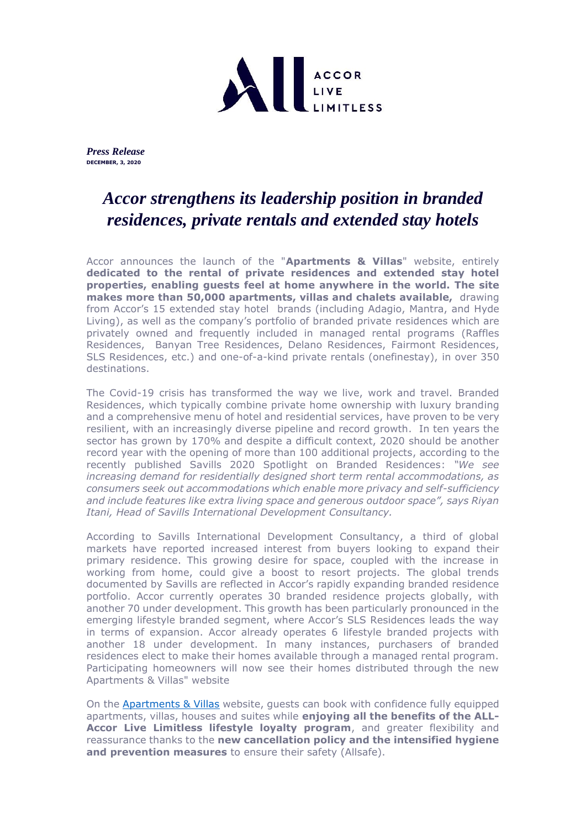

*Press Release*  **DECEMBER, 3, 2020**

# *Accor strengthens its leadership position in branded residences, private rentals and extended stay hotels*

Accor announces the launch of the "**Apartments & Villas**" website, entirely **dedicated to the rental of private residences and extended stay hotel properties, enabling guests feel at home anywhere in the world. The site makes more than 50,000 apartments, villas and chalets available,** drawing from Accor's 15 extended stay hotel brands (including Adagio, Mantra, and Hyde Living), as well as the company's portfolio of branded private residences which are privately owned and frequently included in managed rental programs (Raffles Residences, Banyan Tree Residences, Delano Residences, Fairmont Residences, SLS Residences, etc.) and one-of-a-kind private rentals (onefinestay), in over 350 destinations.

The Covid-19 crisis has transformed the way we live, work and travel. Branded Residences, which typically combine private home ownership with luxury branding and a comprehensive menu of hotel and residential services, have proven to be very resilient, with an increasingly diverse pipeline and record growth. In ten years the sector has grown by 170% and despite a difficult context, 2020 should be another record year with the opening of more than 100 additional projects, according to the recently published Savills 2020 Spotlight on Branded Residences: *"We see increasing demand for residentially designed short term rental accommodations, as consumers seek out accommodations which enable more privacy and self-sufficiency and include features like extra living space and generous outdoor space", says Riyan Itani, Head of Savills International Development Consultancy.* 

According to Savills International Development Consultancy, a third of global markets have reported increased interest from buyers looking to expand their primary residence. This growing desire for space, coupled with the increase in working from home, could give a boost to resort projects. The global trends documented by Savills are reflected in Accor's rapidly expanding branded residence portfolio. Accor currently operates 30 branded residence projects globally, with another 70 under development. This growth has been particularly pronounced in the emerging lifestyle branded segment, where Accor's SLS Residences leads the way in terms of expansion. Accor already operates 6 lifestyle branded projects with another 18 under development. In many instances, purchasers of branded residences elect to make their homes available through a managed rental program. Participating homeowners will now see their homes distributed through the new Apartments & Villas" website

On the [Apartments & Villas](https://apartmentsandvillas.accor.com/) website, guests can book with confidence fully equipped apartments, villas, houses and suites while **enjoying all the benefits of the ALL-Accor Live Limitless lifestyle loyalty program**, and greater flexibility and reassurance thanks to the **new cancellation policy and the intensified hygiene and prevention measures** to ensure their safety (Allsafe).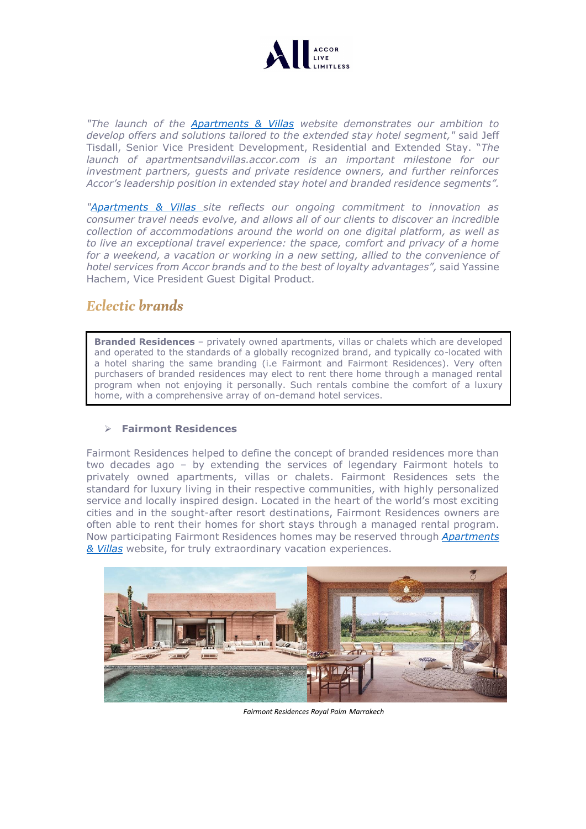

*"The launch of the [Apartments & Villas](https://apartmentsandvillas.accor.com/) website demonstrates our ambition to develop offers and solutions tailored to the extended stay hotel segment,"* said Jeff Tisdall, Senior Vice President Development, Residential and Extended Stay. "*The launch of apartmentsandvillas.accor.com is an important milestone for our investment partners, guests and private residence owners, and further reinforces Accor's leadership position in extended stay hotel and branded residence segments".* 

*["Apartments & Villas](https://apartmentsandvillas.accor.com/) site reflects our ongoing commitment to innovation as consumer travel needs evolve, and allows all of our clients to discover an incredible collection of accommodations around the world on one digital platform, as well as to live an exceptional travel experience: the space, comfort and privacy of a home for a weekend, a vacation or working in a new setting, allied to the convenience of hotel services from Accor brands and to the best of loyalty advantages",* said Yassine Hachem, Vice President Guest Digital Product*.* 

# **Eclectic brands**

**Branded Residences** – privately owned apartments, villas or chalets which are developed and operated to the standards of a globally recognized brand, and typically co-located with a hotel sharing the same branding (i.e Fairmont and Fairmont Residences). Very often purchasers of branded residences may elect to rent there home through a managed rental program when not enjoying it personally. Such rentals combine the comfort of a luxury home, with a comprehensive array of on-demand hotel services.

### ➢ **Fairmont Residences**

Fairmont Residences helped to define the concept of branded residences more than two decades ago – by extending the services of legendary Fairmont hotels to privately owned apartments, villas or chalets. Fairmont Residences sets the standard for luxury living in their respective communities, with highly personalized service and locally inspired design. Located in the heart of the world's most exciting cities and in the sought-after resort destinations, Fairmont Residences owners are often able to rent their homes for short stays through a managed rental program. Now participating Fairmont Residences homes may be reserved through *[Apartments](https://apartmentsandvillas.accor.com/)  [& Villas](https://apartmentsandvillas.accor.com/)* website, for truly extraordinary vacation experiences.



*Fairmont Residences Royal Palm Marrakech*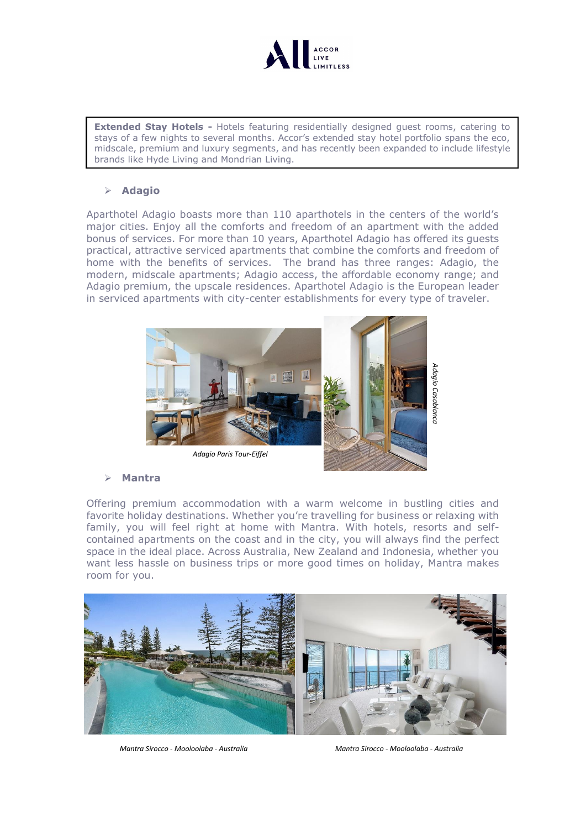

**Extended Stay Hotels -** Hotels featuring residentially designed quest rooms, catering to stays of a few nights to several months. Accor's extended stay hotel portfolio spans the eco, midscale, premium and luxury segments, and has recently been expanded to include lifestyle brands like Hyde Living and Mondrian Living.

## ➢ **Adagio**

Aparthotel Adagio boasts more than 110 aparthotels in the centers of the world's major cities. Enjoy all the comforts and freedom of an apartment with the added bonus of services. For more than 10 years, Aparthotel Adagio has offered its guests practical, attractive serviced apartments that combine the comforts and freedom of home with the benefits of services. The brand has three ranges: Adagio, the modern, midscale apartments; Adagio access, the affordable economy range; and Adagio premium, the upscale residences. Aparthotel Adagio is the European leader in serviced apartments with city-center establishments for every type of traveler.



### ➢ **Mantra**

Offering premium accommodation with a warm welcome in bustling cities and favorite holiday destinations. Whether you're travelling for business or relaxing with family, you will feel right at home with Mantra. With hotels, resorts and selfcontained apartments on the coast and in the city, you will always find the perfect space in the ideal place. Across Australia, New Zealand and Indonesia, whether you want less hassle on business trips or more good times on holiday, Mantra makes room for you.



*Mantra Sirocco - Mooloolaba - Australia Mantra Sirocco - Mooloolaba - Australia*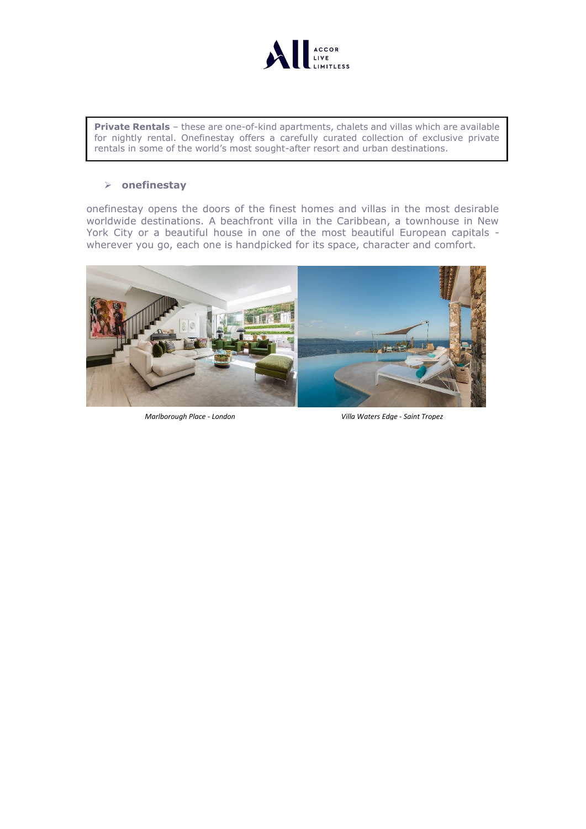

**Private Rentals** – these are one-of-kind apartments, chalets and villas which are available for nightly rental. Onefinestay offers a carefully curated collection of exclusive private rentals in some of the world's most sought-after resort and urban destinations.

#### ➢ **onefinestay**

onefinestay opens the doors of the finest homes and villas in the most desirable worldwide destinations. A beachfront villa in the Caribbean, a townhouse in New York City or a beautiful house in one of the most beautiful European capitals wherever you go, each one is handpicked for its space, character and comfort.



*Marlborough Place - London Villa Waters Edge - Saint Tropez*